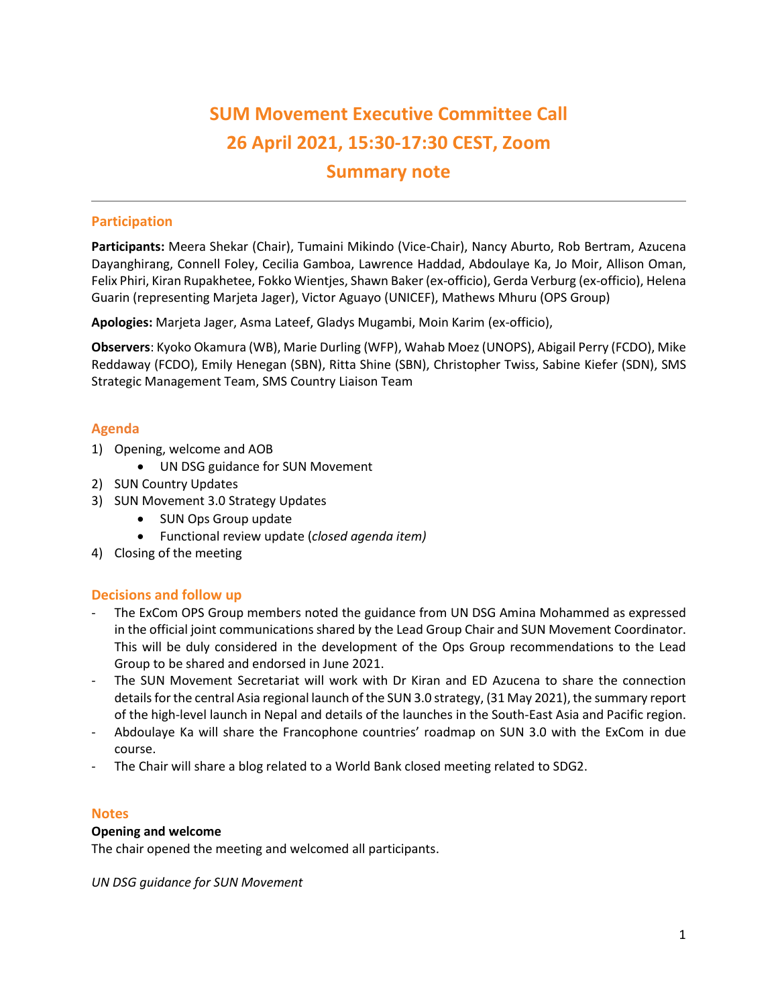# **SUM Movement Executive Committee Call 26 April 2021, 15:30-17:30 CEST, Zoom Summary note**

# **Participation**

**Participants:** Meera Shekar (Chair), Tumaini Mikindo (Vice-Chair), Nancy Aburto, Rob Bertram, Azucena Dayanghirang, Connell Foley, Cecilia Gamboa, Lawrence Haddad, Abdoulaye Ka, Jo Moir, Allison Oman, Felix Phiri, Kiran Rupakhetee, Fokko Wientjes, Shawn Baker(ex-officio), Gerda Verburg (ex-officio), Helena Guarin (representing Marjeta Jager), Victor Aguayo (UNICEF), Mathews Mhuru (OPS Group)

**Apologies:** Marjeta Jager, Asma Lateef, Gladys Mugambi, Moin Karim (ex-officio),

**Observers**: Kyoko Okamura (WB), Marie Durling (WFP), Wahab Moez (UNOPS), Abigail Perry (FCDO), Mike Reddaway (FCDO), Emily Henegan (SBN), Ritta Shine (SBN), Christopher Twiss, Sabine Kiefer (SDN), SMS Strategic Management Team, SMS Country Liaison Team

## **Agenda**

- 1) Opening, welcome and AOB
	- UN DSG guidance for SUN Movement
- 2) SUN Country Updates
- 3) SUN Movement 3.0 Strategy Updates
	- SUN Ops Group update
	- Functional review update (*closed agenda item)*
- 4) Closing of the meeting

## **Decisions and follow up**

- The ExCom OPS Group members noted the guidance from UN DSG Amina Mohammed as expressed in the official joint communications shared by the Lead Group Chair and SUN Movement Coordinator. This will be duly considered in the development of the Ops Group recommendations to the Lead Group to be shared and endorsed in June 2021.
- The SUN Movement Secretariat will work with Dr Kiran and ED Azucena to share the connection details for the central Asia regional launch of the SUN 3.0 strategy, (31 May 2021), the summary report of the high-level launch in Nepal and details of the launches in the South-East Asia and Pacific region.
- Abdoulaye Ka will share the Francophone countries' roadmap on SUN 3.0 with the ExCom in due course.
- The Chair will share a blog related to a World Bank closed meeting related to SDG2.

## **Notes**

## **Opening and welcome**

The chair opened the meeting and welcomed all participants.

*UN DSG guidance for SUN Movement*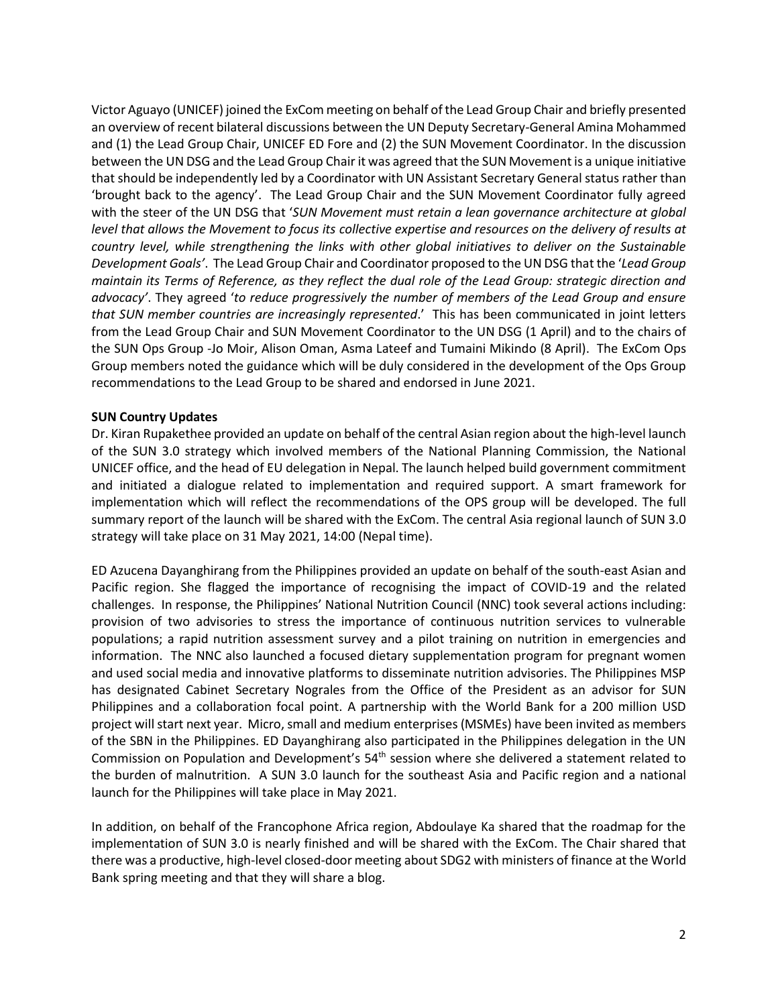Victor Aguayo (UNICEF) joined the ExCom meeting on behalf of the Lead Group Chair and briefly presented an overview of recent bilateral discussions between the UN Deputy Secretary-General Amina Mohammed and (1) the Lead Group Chair, UNICEF ED Fore and (2) the SUN Movement Coordinator. In the discussion between the UN DSG and the Lead Group Chair it was agreed that the SUN Movement is a unique initiative that should be independently led by a Coordinator with UN Assistant Secretary General status rather than 'brought back to the agency'. The Lead Group Chair and the SUN Movement Coordinator fully agreed with the steer of the UN DSG that '*SUN Movement must retain a lean governance architecture at global level that allows the Movement to focus its collective expertise and resources on the delivery of results at country level, while strengthening the links with other global initiatives to deliver on the Sustainable Development Goals'*. The Lead Group Chair and Coordinator proposed to the UN DSG that the '*Lead Group maintain its Terms of Reference, as they reflect the dual role of the Lead Group: strategic direction and advocacy'*. They agreed '*to reduce progressively the number of members of the Lead Group and ensure that SUN member countries are increasingly represented*.' This has been communicated in joint letters from the Lead Group Chair and SUN Movement Coordinator to the UN DSG (1 April) and to the chairs of the SUN Ops Group -Jo Moir, Alison Oman, Asma Lateef and Tumaini Mikindo (8 April). The ExCom Ops Group members noted the guidance which will be duly considered in the development of the Ops Group recommendations to the Lead Group to be shared and endorsed in June 2021.

#### **SUN Country Updates**

Dr. Kiran Rupakethee provided an update on behalf of the central Asian region about the high-level launch of the SUN 3.0 strategy which involved members of the National Planning Commission, the National UNICEF office, and the head of EU delegation in Nepal. The launch helped build government commitment and initiated a dialogue related to implementation and required support. A smart framework for implementation which will reflect the recommendations of the OPS group will be developed. The full summary report of the launch will be shared with the ExCom. The central Asia regional launch of SUN 3.0 strategy will take place on 31 May 2021, 14:00 (Nepal time).

ED Azucena Dayanghirang from the Philippines provided an update on behalf of the south-east Asian and Pacific region. She flagged the importance of recognising the impact of COVID-19 and the related challenges. In response, the Philippines' National Nutrition Council (NNC) took several actions including: provision of two advisories to stress the importance of continuous nutrition services to vulnerable populations; a rapid nutrition assessment survey and a pilot training on nutrition in emergencies and information. The NNC also launched a focused dietary supplementation program for pregnant women and used social media and innovative platforms to disseminate nutrition advisories. The Philippines MSP has designated Cabinet Secretary Nograles from the Office of the President as an advisor for SUN Philippines and a collaboration focal point. A partnership with the World Bank for a 200 million USD project will start next year. Micro, small and medium enterprises (MSMEs) have been invited as members of the SBN in the Philippines. ED Dayanghirang also participated in the Philippines delegation in the UN Commission on Population and Development's 54<sup>th</sup> session where she delivered a statement related to the burden of malnutrition. A SUN 3.0 launch for the southeast Asia and Pacific region and a national launch for the Philippines will take place in May 2021.

In addition, on behalf of the Francophone Africa region, Abdoulaye Ka shared that the roadmap for the implementation of SUN 3.0 is nearly finished and will be shared with the ExCom. The Chair shared that there was a productive, high-level closed-door meeting about SDG2 with ministers of finance at the World Bank spring meeting and that they will share a blog.